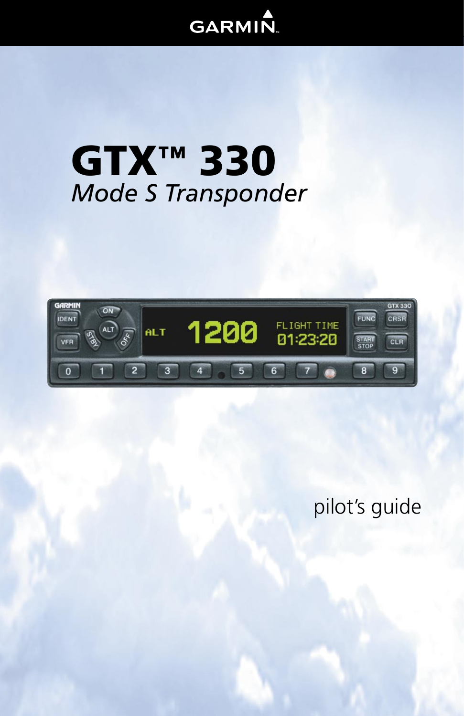# **GARMIN**

# **GTX™ 330** Mode S Transponder



pilot's guide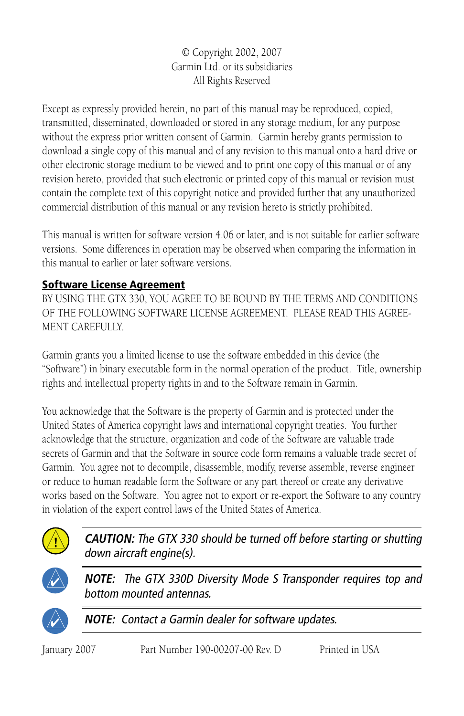© Copyright 2002, 2007 Garmin Ltd. or its subsidiaries All Rights Reserved

Except as expressly provided herein, no part of this manual may be reproduced, copied, transmitted, disseminated, downloaded or stored in any storage medium, for any purpose without the express prior written consent of Garmin. Garmin hereby grants permission to download a single copy of this manual and of any revision to this manual onto a hard drive or other electronic storage medium to be viewed and to print one copy of this manual or of any revision hereto, provided that such electronic or printed copy of this manual or revision must contain the complete text of this copyright notice and provided further that any unauthorized commercial distribution of this manual or any revision hereto is strictly prohibited.

This manual is written for software version 4.06 or later, and is not suitable for earlier software versions. Some differences in operation may be observed when comparing the information in this manual to earlier or later software versions.

# Software License Agreement

BY USING THE GTX 330, YOU AGREE TO BE BOUND BY THE TERMS AND CONDITIONS OF THE FOLLOWING SOFTWARE LICENSE AGREEMENT. PLEASE READ THIS AGREE-MENT CAREFULLY.

Garmin grants you a limited license to use the software embedded in this device (the "Software") in binary executable form in the normal operation of the product. Title, ownership rights and intellectual property rights in and to the Software remain in Garmin.

You acknowledge that the Software is the property of Garmin and is protected under the United States of America copyright laws and international copyright treaties. You further acknowledge that the structure, organization and code of the Software are valuable trade secrets of Garmin and that the Software in source code form remains a valuable trade secret of Garmin. You agree not to decompile, disassemble, modify, reverse assemble, reverse engineer or reduce to human readable form the Software or any part thereof or create any derivative works based on the Software. You agree not to export or re-export the Software to any country in violation of the export control laws of the United States of America.



**CAUTION:** The GTX 330 should be turned off before starting or shutting down aircraft engine(s).



**NOTE:** The GTX 330D Diversity Mode S Transponder requires top and bottom mounted antennas.



**NOTE:** Contact a Garmin dealer for software updates.

January 2007 Part Number 190-00207-00 Rev. D Printed in USA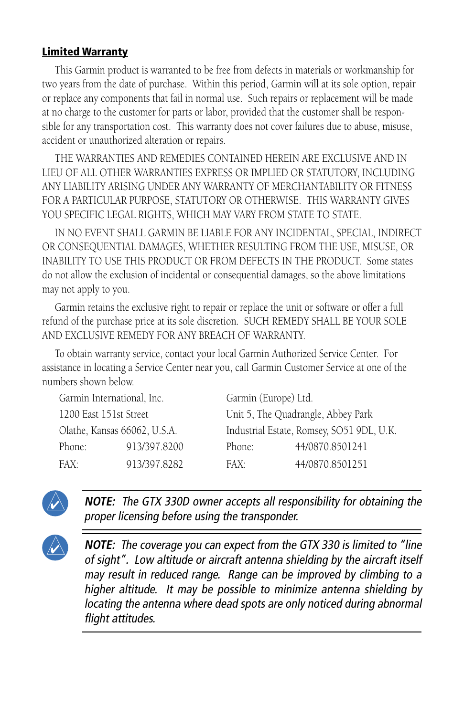#### Limited Warranty

This Garmin product is warranted to be free from defects in materials or workmanship for two years from the date of purchase. Within this period, Garmin will at its sole option, repair or replace any components that fail in normal use. Such repairs or replacement will be made at no charge to the customer for parts or labor, provided that the customer shall be responsible for any transportation cost. This warranty does not cover failures due to abuse, misuse, accident or unauthorized alteration or repairs.

THE WARRANTIES AND REMEDIES CONTAINED HEREIN ARE EXCLUSIVE AND IN LIEU OF ALL OTHER WARRANTIES EXPRESS OR IMPLIED OR STATUTORY, INCLUDING ANY LIABILITY ARISING UNDER ANY WARRANTY OF MERCHANTABILITY OR FITNESS FOR A PARTICULAR PURPOSE, STATUTORY OR OTHERWISE. THIS WARRANTY GIVES YOU SPECIFIC LEGAL RIGHTS, WHICH MAY VARY FROM STATE TO STATE.

IN NO EVENT SHALL GARMIN BE LIABLE FOR ANY INCIDENTAL, SPECIAL, INDIRECT OR CONSEQUENTIAL DAMAGES, WHETHER RESULTING FROM THE USE, MISUSE, OR INABILITY TO USE THIS PRODUCT OR FROM DEFECTS IN THE PRODUCT. Some states do not allow the exclusion of incidental or consequential damages, so the above limitations may not apply to you.

Garmin retains the exclusive right to repair or replace the unit or software or offer a full refund of the purchase price at its sole discretion. SUCH REMEDY SHALL BE YOUR SOLE AND EXCLUSIVE REMEDY FOR ANY BREACH OF WARRANTY.

To obtain warranty service, contact your local Garmin Authorized Service Center. For assistance in locating a Service Center near you, call Garmin Customer Service at one of the numbers shown below.

| Garmin International, Inc.   |              | Garmin (Europe) Ltd.                      |                 |
|------------------------------|--------------|-------------------------------------------|-----------------|
| 1200 East 151st Street       |              | Unit 5, The Quadrangle, Abbey Park        |                 |
| Olathe, Kansas 66062, U.S.A. |              | Industrial Estate, Romsey, SO51 9DL, U.K. |                 |
| Phone:                       | 913/397.8200 | Phone:                                    | 44/0870.8501241 |
| $FAX^T$                      | 913/397.8282 | $FAX^*$                                   | 44/0870.8501251 |
|                              |              |                                           |                 |



**NOTE:** The GTX 330D owner accepts all responsibility for obtaining the proper licensing before using the transponder.

**NOTE:** The coverage you can expect from the GTX 330 is limited to "line of sight". Low altitude or aircraft antenna shielding by the aircraft itself may result in reduced range. Range can be improved by climbing to a higher altitude. It may be possible to minimize antenna shielding by locating the antenna where dead spots are only noticed during abnormal flight attitudes.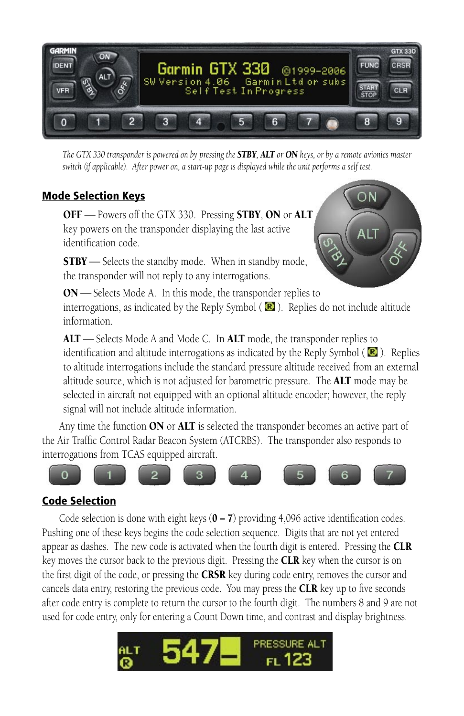

*The GTX 330 transponder is powered on by pressing the STBY, ALT or ON keys, or by a remote avionics master switch (if applicable). After power on, a start-up page is displayed while the unit performs a self test.*

#### Mode Selection Keys

OFF — Powers off the GTX 330. Pressing STBY, ON or ALT key powers on the transponder displaying the last active identification code.

 $STBY$   $\rightarrow$  Selects the standby mode. When in standby mode, the transponder will not reply to any interrogations.



ON - Selects Mode A. In this mode, the transponder replies to interrogations, as indicated by the Reply Symbol ( $\blacksquare$ ). Replies do not include altitude information.

ALT — Selects Mode A and Mode C. In ALT mode, the transponder replies to identification and altitude interrogations as indicated by the Reply Symbol  $(\mathbb{R})$ . Replies to altitude interrogations include the standard pressure altitude received from an external altitude source, which is not adjusted for barometric pressure. The **ALT** mode may be selected in aircraft not equipped with an optional altitude encoder; however, the reply signal will not include altitude information.

Any time the function ON or ALT is selected the transponder becomes an active part of the Air Traffic Control Radar Beacon System (ATCRBS). The transponder also responds to interrogations from TCAS equipped aircraft.



#### Code Selection

Code selection is done with eight keys  $(0 – 7)$  providing 4,096 active identification codes. Pushing one of these keys begins the code selection sequence. Digits that are not yet entered appear as dashes. The new code is activated when the fourth digit is entered. Pressing the  $CLR$ key moves the cursor back to the previous digit. Pressing the **CLR** key when the cursor is on the first digit of the code, or pressing the **CRSR** key during code entry, removes the cursor and cancels data entry, restoring the previous code. You may press the **CLR** key up to five seconds after code entry is complete to return the cursor to the fourth digit. The numbers 8 and 9 are not used for code entry, only for entering a Count Down time, and contrast and display brightness.

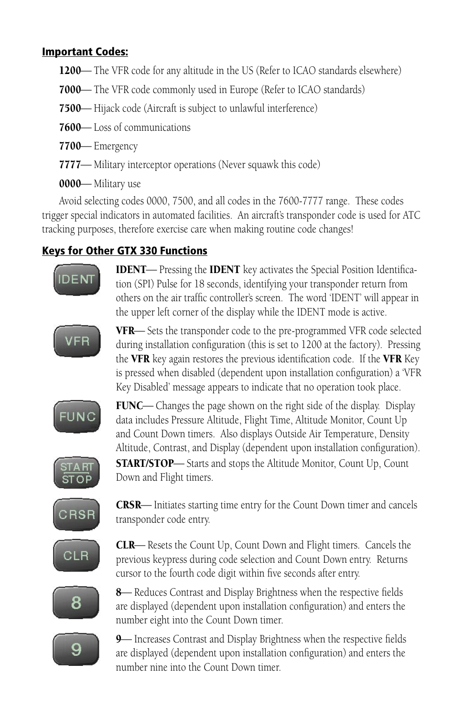## Important Codes:

- 1200— The VFR code for any altitude in the US (Refer to ICAO standards elsewhere)
- 7000- The VFR code commonly used in Europe (Refer to ICAO standards)
- 7500— Hijack code (Aircraft is subject to unlawful interference)
- 7600— Loss of communications
- 7700— Emergency
- 7777— Military interceptor operations (Never squawk this code)
- 0000-Military use

Avoid selecting codes 0000, 7500, and all codes in the 7600-7777 range. These codes trigger special indicators in automated facilities. An aircraft's transponder code is used for ATC tracking purposes, therefore exercise care when making routine code changes!

# Keys for Other GTX 330 Functions



**IDENT**— Pressing the **IDENT** key activates the Special Position Identification (SPI) Pulse for 18 seconds, identifying your transponder return from others on the air traffic controller's screen. The word 'IDENT' will appear in the upper left corner of the display while the IDENT mode is active.



VFR-Sets the transponder code to the pre-programmed VFR code selected during installation configuration (this is set to 1200 at the factory). Pressing the VFR key again restores the previous identification code. If the VFR Key is pressed when disabled (dependent upon installation configuration) a 'VFR Key Disabled' message appears to indicate that no operation took place.



**FUNC**— Changes the page shown on the right side of the display. Display data includes Pressure Altitude, Flight Time, Altitude Monitor, Count Up and Count Down timers. Also displays Outside Air Temperature, Density Altitude, Contrast, and Display (dependent upon installation configuration). **START/STOP**—Starts and stops the Altitude Monitor, Count Up, Count Down and Flight timers.



**CRSR**— Initiates starting time entry for the Count Down timer and cancels transponder code entry.



**CLR**— Resets the Count Up, Count Down and Flight timers. Cancels the previous keypress during code selection and Count Down entry. Returns cursor to the fourth code digit within five seconds after entry.



8 Reduces Contrast and Display Brightness when the respective fields are displayed (dependent upon installation configuration) and enters the number eight into the Count Down timer.



9 Increases Contrast and Display Brightness when the respective fields are displayed (dependent upon installation configuration) and enters the number nine into the Count Down timer.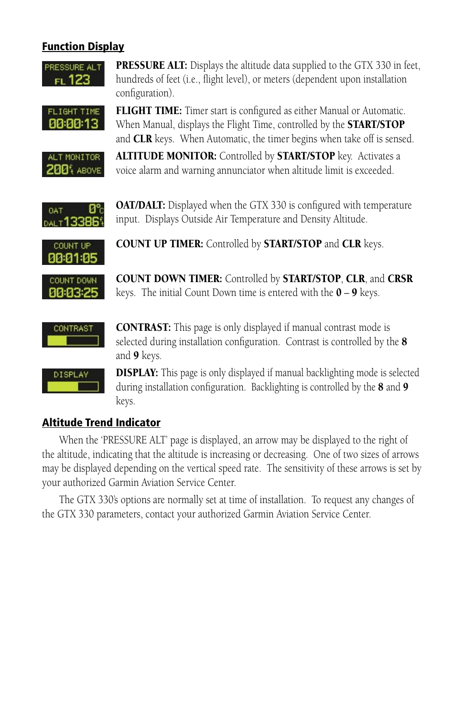## **Function Display**



PRESSURE ALT: Displays the altitude data supplied to the GTX 330 in feet, hundreds of feet (i.e., flight level), or meters (dependent upon installation configuration).



**FLIGHT TIME:** Timer start is configured as either Manual or Automatic. When Manual, displays the Flight Time, controlled by the **START/STOP** and **CLR** keys. When Automatic, the timer begins when take off is sensed.



ALTITUDE MONITOR: Controlled by **START/STOP** key. Activates a voice alarm and warning annunciator when altitude limit is exceeded.



**OAT/DALT:** Displayed when the GTX 330 is configured with temperature input. Displays Outside Air Temperature and Density Altitude.



COUNT UP TIMER: Controlled by START/STOP and CLR keys.



COUNT DOWN TIMER: Controlled by START/STOP, CLR, and CRSR keys. The initial Count Down time is entered with the  $0 - 9$  keys.



CONTRAST: This page is only displayed if manual contrast mode is selected during installation configuration. Contrast is controlled by the 8 and 9 keys.



**DISPLAY:** This page is only displayed if manual backlighting mode is selected during installation configuration. Backlighting is controlled by the 8 and 9 keys.

# Altitude Trend Indicator

When the 'PRESSURE ALT' page is displayed, an arrow may be displayed to the right of the altitude, indicating that the altitude is increasing or decreasing. One of two sizes of arrows may be displayed depending on the vertical speed rate. The sensitivity of these arrows is set by your authorized Garmin Aviation Service Center.

The GTX 330's options are normally set at time of installation. To request any changes of the GTX 330 parameters, contact your authorized Garmin Aviation Service Center.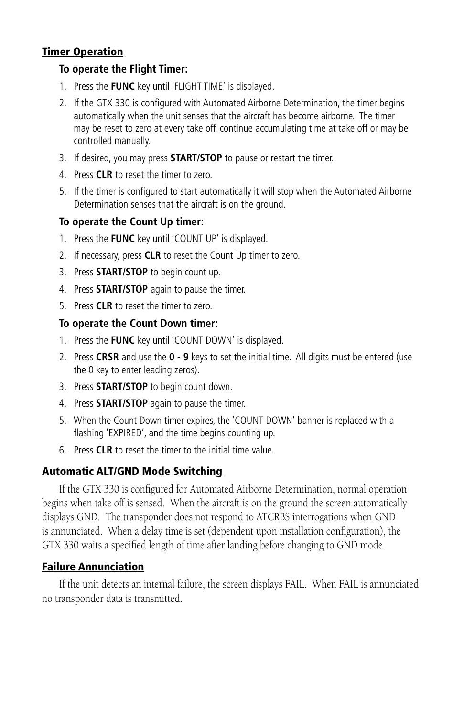#### Timer Operation

#### **To operate the Flight Timer:**

- 1. Press the **FUNC** key until 'FLIGHT TIME' is displayed.
- 2. If the GTX 330 is configured with Automated Airborne Determination, the timer begins automatically when the unit senses that the aircraft has become airborne. The timer may be reset to zero at every take off, continue accumulating time at take off or may be controlled manually.
- 3. If desired, you may press **START/STOP** to pause or restart the timer.
- 4. Press **CLR** to reset the timer to zero.
- 5. If the timer is configured to start automatically it will stop when the Automated Airborne Determination senses that the aircraft is on the ground.

#### **To operate the Count Up timer:**

- 1. Press the **FUNC** key until 'COUNT UP' is displayed.
- 2. If necessary, press **CLR** to reset the Count Up timer to zero.
- 3. Press **START/STOP** to begin count up.
- 4. Press **START/STOP** again to pause the timer.
- 5. Press **CLR** to reset the timer to zero.

#### **To operate the Count Down timer:**

- 1. Press the **FUNC** key until 'COUNT DOWN' is displayed.
- 2. Press **CRSR** and use the **0 9** keys to set the initial time. All digits must be entered (use the 0 key to enter leading zeros).
- 3. Press **START/STOP** to begin count down.
- 4. Press **START/STOP** again to pause the timer.
- 5. When the Count Down timer expires, the 'COUNT DOWN' banner is replaced with a flashing 'EXPIRED', and the time begins counting up.
- 6. Press **CLR** to reset the timer to the initial time value.

#### Automatic ALT/GND Mode Switching

If the GTX 330 is configured for Automated Airborne Determination, normal operation begins when take off is sensed. When the aircraft is on the ground the screen automatically displays GND. The transponder does not respond to ATCRBS interrogations when GND is annunciated. When a delay time is set (dependent upon installation configuration), the GTX 330 waits a specified length of time after landing before changing to GND mode.

#### Failure Annunciation

If the unit detects an internal failure, the screen displays FAIL. When FAIL is annunciated no transponder data is transmitted.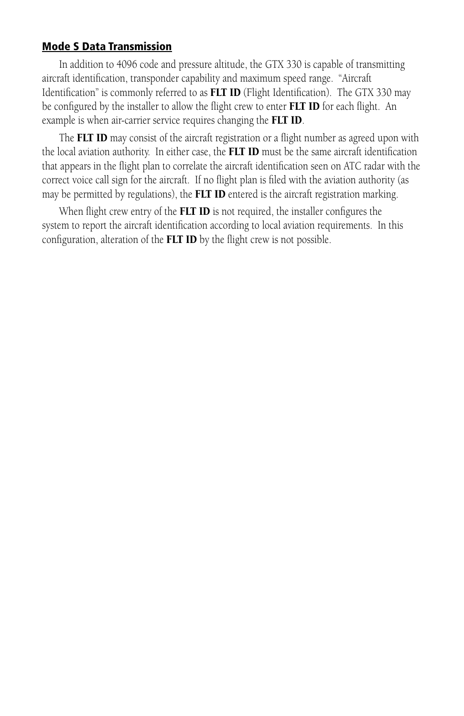#### Mode S Data Transmission

In addition to 4096 code and pressure altitude, the GTX 330 is capable of transmitting aircraft identification, transponder capability and maximum speed range. "Aircraft Identification" is commonly referred to as **FLT ID** (Flight Identification). The GTX 330 may be configured by the installer to allow the flight crew to enter FLT ID for each flight. An example is when air-carrier service requires changing the FLT ID.

The FLT ID may consist of the aircraft registration or a flight number as agreed upon with the local aviation authority. In either case, the **FLT ID** must be the same aircraft identification that appears in the flight plan to correlate the aircraft identification seen on ATC radar with the correct voice call sign for the aircraft. If no flight plan is filed with the aviation authority (as may be permitted by regulations), the FLT ID entered is the aircraft registration marking.

When flight crew entry of the **FLT ID** is not required, the installer configures the system to report the aircraft identification according to local aviation requirements. In this configuration, alteration of the FLT ID by the flight crew is not possible.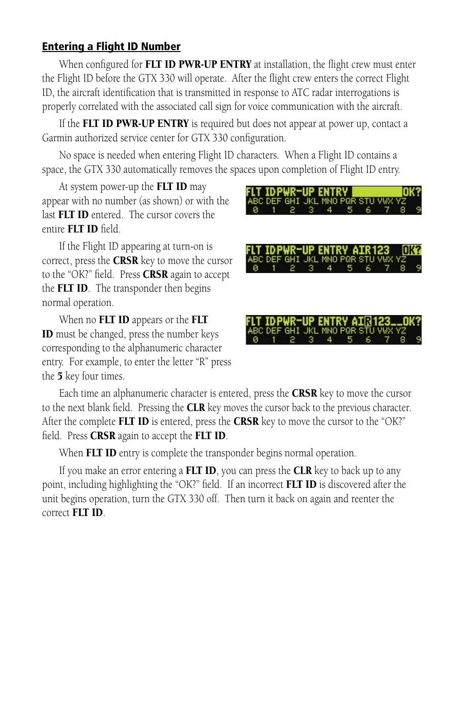#### Entering a Flight ID Number

When configured for **FLT ID PWR-UP ENTRY** at installation, the flight crew must enter the Flight ID before the GTX 330 will operate. After the flight crew enters the correct Flight ID, the aircraft identification that is transmitted in response to ATC radar interrogations is properly correlated with the associated call sign for voice communication with the aircraft.

If the FLT ID PWR-UP ENTRY is required but does not appear at power up, contact a Garmin authorized service center for GTX 330 configuration.

No space is needed when entering Flight ID characters. When a Flight ID contains a space, the GTX 330 automatically removes the spaces upon completion of Flight ID entry.

At system power-up the **FLT ID** may appear with no number (as shown) or with the last FLT ID entered. The cursor covers the entire FLT ID field.

If the Flight ID appearing at turn-on is correct, press the **CRSR** key to move the cursor to the "OK?" field. Press  $CRSR$  again to accept the FLT ID. The transponder then begins normal operation.

When no **FLT ID** appears or the **FLT** ID must be changed, press the number keys corresponding to the alphanumeric character entry. For example, to enter the letter "R" press the **5** key four times.



GHT JKL MNO POR з 4

OK?

FLT IDPWR-UP ENTRY

BC DEF GHI JKL MNO PQR ST

Each time an alphanumeric character is entered, press the **CRSR** key to move the cursor to the next blank field. Pressing the CLR key moves the cursor back to the previous character. After the complete FLT ID is entered, press the CRSR key to move the cursor to the "OK?" field. Press **CRSR** again to accept the **FLT ID**.

When FLT ID entry is complete the transponder begins normal operation.

If you make an error entering a **FLT ID**, you can press the **CLR** key to back up to any point, including highlighting the "OK?" field. If an incorrect **FLT ID** is discovered after the unit begins operation, turn the GTX 330 off. Then turn it back on again and reenter the correct FLT ID.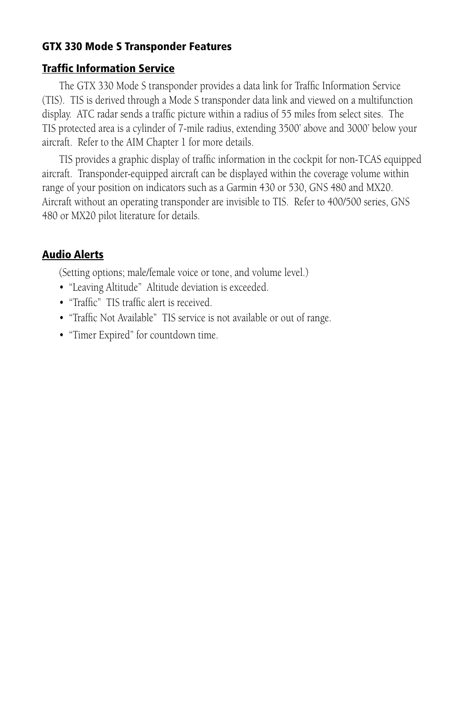#### GTX 330 Mode S Transponder Features

#### Traffic Information Service

The GTX 330 Mode S transponder provides a data link for Traffic Information Service (TIS). TIS is derived through a Mode S transponder data link and viewed on a multifunction display. ATC radar sends a traffic picture within a radius of 55 miles from select sites. The TIS protected area is a cylinder of 7-mile radius, extending 3500' above and 3000' below your aircraft. Refer to the AIM Chapter 1 for more details.

TIS provides a graphic display of traffic information in the cockpit for non-TCAS equipped aircraft. Transponder-equipped aircraft can be displayed within the coverage volume within range of your position on indicators such as a Garmin 430 or 530, GNS 480 and MX20. Aircraft without an operating transponder are invisible to TIS. Refer to 400/500 series, GNS 480 or MX20 pilot literature for details.

# Audio Alerts

(Setting options; male/female voice or tone, and volume level.)

- "Leaving Altitude" Altitude deviation is exceeded.
- "Traffic" TIS traffic alert is received.
- "Traffic Not Available" TIS service is not available or out of range.
- "Timer Expired" for countdown time.